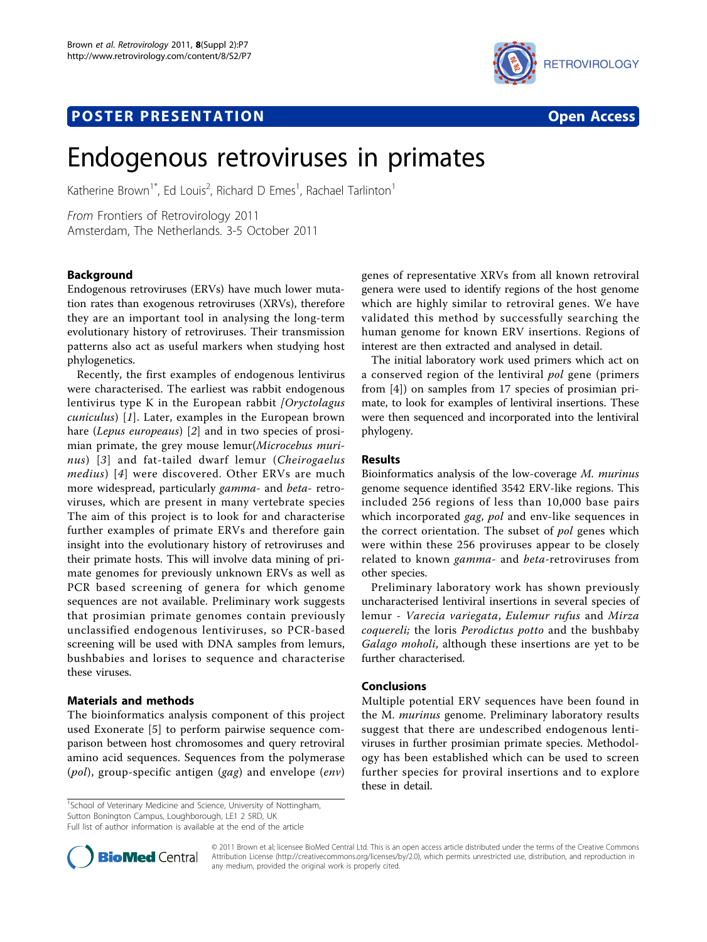# **POSTER PRESENTATION CONSUMING THE SERVICE SERVICE SERVICES**





# Endogenous retroviruses in primates

Katherine Brown<sup>1\*</sup>, Ed Louis<sup>2</sup>, Richard D Emes<sup>1</sup>, Rachael Tarlinton<sup>1</sup>

From Frontiers of Retrovirology 2011 Amsterdam, The Netherlands. 3-5 October 2011

# Background

Endogenous retroviruses (ERVs) have much lower mutation rates than exogenous retroviruses (XRVs), therefore they are an important tool in analysing the long-term evolutionary history of retroviruses. Their transmission patterns also act as useful markers when studying host phylogenetics.

Recently, the first examples of endogenous lentivirus were characterised. The earliest was rabbit endogenous lentivirus type K in the European rabbit  $\iint Qrryctolagus$ cuniculus) [[1](#page-1-0)]. Later, examples in the European brown hare (Lepus europeaus) [[2](#page-1-0)] and in two species of prosimian primate, the grey mouse lemur(Microcebus muri-nus) [[3](#page-1-0)] and fat-tailed dwarf lemur (Cheirogaelus medius) [[4](#page-1-0)] were discovered. Other ERVs are much more widespread, particularly gamma- and beta- retroviruses, which are present in many vertebrate species The aim of this project is to look for and characterise further examples of primate ERVs and therefore gain insight into the evolutionary history of retroviruses and their primate hosts. This will involve data mining of primate genomes for previously unknown ERVs as well as PCR based screening of genera for which genome sequences are not available. Preliminary work suggests that prosimian primate genomes contain previously unclassified endogenous lentiviruses, so PCR-based screening will be used with DNA samples from lemurs, bushbabies and lorises to sequence and characterise these viruses.

# Materials and methods

The bioinformatics analysis component of this project used Exonerate [[5](#page-1-0)] to perform pairwise sequence comparison between host chromosomes and query retroviral amino acid sequences. Sequences from the polymerase  $(pol)$ , group-specific antigen  $(qag)$  and envelope  $(env)$  genes of representative XRVs from all known retroviral genera were used to identify regions of the host genome which are highly similar to retroviral genes. We have validated this method by successfully searching the human genome for known ERV insertions. Regions of interest are then extracted and analysed in detail.

The initial laboratory work used primers which act on a conserved region of the lentiviral pol gene (primers from [[4\]](#page-1-0)) on samples from 17 species of prosimian primate, to look for examples of lentiviral insertions. These were then sequenced and incorporated into the lentiviral phylogeny.

## Results

Bioinformatics analysis of the low-coverage M. murinus genome sequence identified 3542 ERV-like regions. This included 256 regions of less than 10,000 base pairs which incorporated *gag, pol* and env-like sequences in the correct orientation. The subset of pol genes which were within these 256 proviruses appear to be closely related to known gamma- and beta-retroviruses from other species.

Preliminary laboratory work has shown previously uncharacterised lentiviral insertions in several species of lemur - Varecia variegata, Eulemur rufus and Mirza coquereli; the loris Perodictus potto and the bushbaby Galago moholi, although these insertions are yet to be further characterised.

# Conclusions

Multiple potential ERV sequences have been found in the M. murinus genome. Preliminary laboratory results suggest that there are undescribed endogenous lentiviruses in further prosimian primate species. Methodology has been established which can be used to screen further species for proviral insertions and to explore these in detail.

<sup>1</sup>School of Veterinary Medicine and Science, University of Nottingham, Sutton Bonington Campus, Loughborough, LE1 2 5RD, UK

Full list of author information is available at the end of the article



© 2011 Brown et al; licensee BioMed Central Ltd. This is an open access article distributed under the terms of the Creative Commons Attribution License [\(http://creativecommons.org/licenses/by/2.0](http://creativecommons.org/licenses/by/2.0)), which permits unrestricted use, distribution, and reproduction in any medium, provided the original work is properly cited.